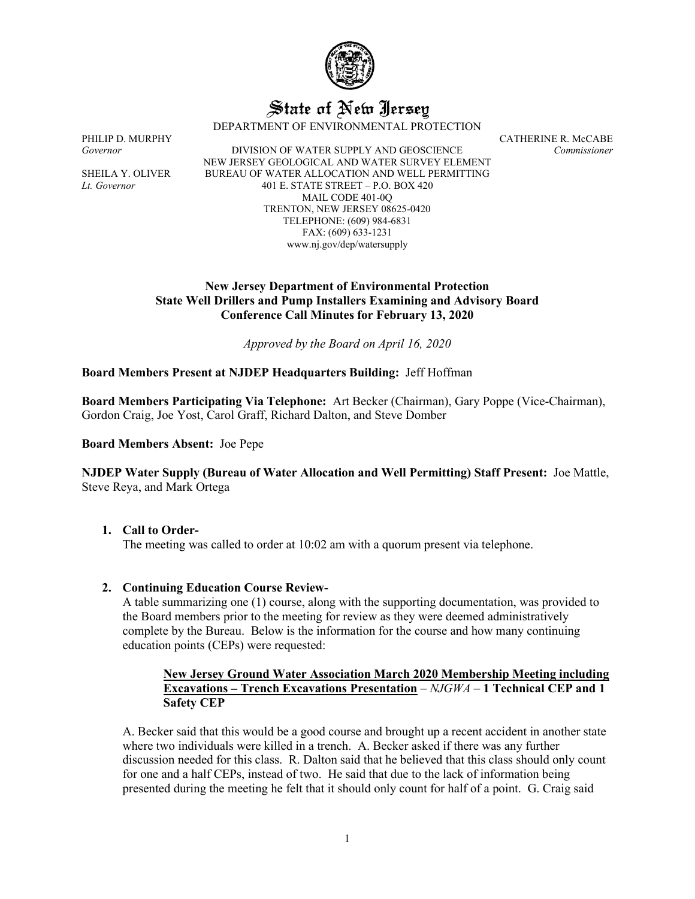

# State of New Jersey

DEPARTMENT OF ENVIRONMENTAL PROTECTION

*Governor* DIVISION OF WATER SUPPLY AND GEOSCIENCE *Commissioner* NEW JERSEY GEOLOGICAL AND WATER SURVEY ELEMENT SHEILA Y. OLIVER BUREAU OF WATER ALLOCATION AND WELL PERMITTING *Lt. Governor* 401 E. STATE STREET – P.O. BOX 420 MAIL CODE 401-0Q TRENTON, NEW JERSEY 08625-0420 TELEPHONE: (609) 984-6831 FAX: (609) 633-1231 www.nj.gov/dep/watersupply

PHILIP D. MURPHY CATHERINE R. McCABE

## **New Jersey Department of Environmental Protection State Well Drillers and Pump Installers Examining and Advisory Board Conference Call Minutes for February 13, 2020**

*Approved by the Board on April 16, 2020*

### **Board Members Present at NJDEP Headquarters Building:** Jeff Hoffman

**Board Members Participating Via Telephone:** Art Becker (Chairman), Gary Poppe (Vice-Chairman), Gordon Craig, Joe Yost, Carol Graff, Richard Dalton, and Steve Domber

**Board Members Absent:** Joe Pepe

**NJDEP Water Supply (Bureau of Water Allocation and Well Permitting) Staff Present:** Joe Mattle, Steve Reya, and Mark Ortega

#### **1. Call to Order-**

The meeting was called to order at 10:02 am with a quorum present via telephone.

#### **2. Continuing Education Course Review-**

A table summarizing one (1) course, along with the supporting documentation, was provided to the Board members prior to the meeting for review as they were deemed administratively complete by the Bureau. Below is the information for the course and how many continuing education points (CEPs) were requested:

### **New Jersey Ground Water Association March 2020 Membership Meeting including Excavations – Trench Excavations Presentation** – *NJGWA* – **1 Technical CEP and 1 Safety CEP**

A. Becker said that this would be a good course and brought up a recent accident in another state where two individuals were killed in a trench. A. Becker asked if there was any further discussion needed for this class. R. Dalton said that he believed that this class should only count for one and a half CEPs, instead of two. He said that due to the lack of information being presented during the meeting he felt that it should only count for half of a point. G. Craig said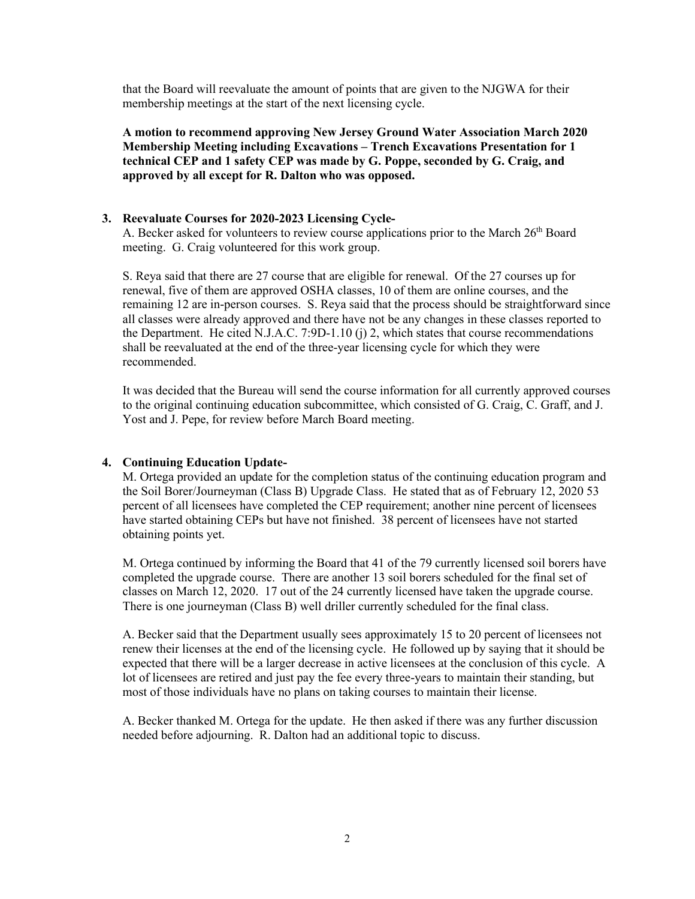that the Board will reevaluate the amount of points that are given to the NJGWA for their membership meetings at the start of the next licensing cycle.

**A motion to recommend approving New Jersey Ground Water Association March 2020 Membership Meeting including Excavations – Trench Excavations Presentation for 1 technical CEP and 1 safety CEP was made by G. Poppe, seconded by G. Craig, and approved by all except for R. Dalton who was opposed.**

#### **3. Reevaluate Courses for 2020-2023 Licensing Cycle-**

A. Becker asked for volunteers to review course applications prior to the March 26<sup>th</sup> Board meeting. G. Craig volunteered for this work group.

S. Reya said that there are 27 course that are eligible for renewal. Of the 27 courses up for renewal, five of them are approved OSHA classes, 10 of them are online courses, and the remaining 12 are in-person courses. S. Reya said that the process should be straightforward since all classes were already approved and there have not be any changes in these classes reported to the Department. He cited N.J.A.C. 7:9D-1.10 (j) 2, which states that course recommendations shall be reevaluated at the end of the three-year licensing cycle for which they were recommended.

It was decided that the Bureau will send the course information for all currently approved courses to the original continuing education subcommittee, which consisted of G. Craig, C. Graff, and J. Yost and J. Pepe, for review before March Board meeting.

#### **4. Continuing Education Update-**

M. Ortega provided an update for the completion status of the continuing education program and the Soil Borer/Journeyman (Class B) Upgrade Class. He stated that as of February 12, 2020 53 percent of all licensees have completed the CEP requirement; another nine percent of licensees have started obtaining CEPs but have not finished. 38 percent of licensees have not started obtaining points yet.

M. Ortega continued by informing the Board that 41 of the 79 currently licensed soil borers have completed the upgrade course. There are another 13 soil borers scheduled for the final set of classes on March 12, 2020. 17 out of the 24 currently licensed have taken the upgrade course. There is one journeyman (Class B) well driller currently scheduled for the final class.

A. Becker said that the Department usually sees approximately 15 to 20 percent of licensees not renew their licenses at the end of the licensing cycle. He followed up by saying that it should be expected that there will be a larger decrease in active licensees at the conclusion of this cycle. A lot of licensees are retired and just pay the fee every three-years to maintain their standing, but most of those individuals have no plans on taking courses to maintain their license.

A. Becker thanked M. Ortega for the update. He then asked if there was any further discussion needed before adjourning. R. Dalton had an additional topic to discuss.